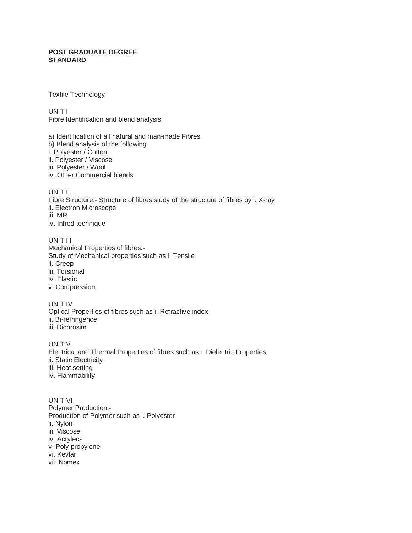#### **POST GRADUATE DEGREE STANDARD**

Textile Technology

UNIT I

Fibre Identification and blend analysis

a) Identification of all natural and man-made Fibres b) Blend analysis of the following i. Polyester / Cotton ii. Polyester / Viscose iii. Polyester / Wool iv. Other Commercial blends UNIT II

Fibre Structure:- Structure of fibres study of the structure of fibres by i. X-ray ii. Electron Microscope iii. MR iv. Infred technique

UNIT III Mechanical Properties of fibres:- Study of Mechanical properties such as i. Tensile ii. Creep iii. Torsional iv. Elastic v. Compression

UNIT IV Optical Properties of fibres such as i. Refractive index ii. Bi-refringence iii. Dichrosim

UNIT V Electrical and Thermal Properties of fibres such as i. Dielectric Properties ii. Static Electricity iii. Heat setting iv. Flammability

UNIT VI Polymer Production:- Production of Polymer such as i. Polyester ii. Nylon iii. Viscose iv. Acrylecs v. Poly propylene vi. Kevlar vii. Nomex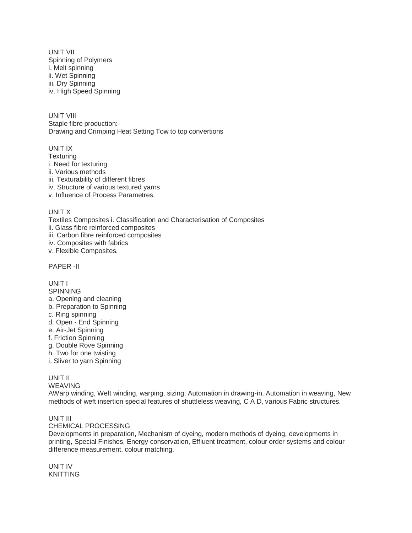UNIT VII Spinning of Polymers i. Melt spinning ii. Wet Spinning iii. Dry Spinning iv. High Speed Spinning

UNIT VIII Staple fibre production:- Drawing and Crimping Heat Setting Tow to top convertions

UNIT IX **Texturing** i. Need for texturing ii. Various methods iii. Texturability of different fibres iv. Structure of various textured yarns v. Influence of Process Parametres.

UNIT X

Textiles Composites i. Classification and Characterisation of Composites

ii. Glass fibre reinforced composites

iii. Carbon fibre reinforced composites

iv. Composites with fabrics

v. Flexible Composites.

PAPER -II

UNIT I

**SPINNING** 

a. Opening and cleaning

b. Preparation to Spinning

- c. Ring spinning
- d. Open End Spinning
- e. Air-Jet Spinning
- f. Friction Spinning
- g. Double Rove Spinning
- h. Two for one twisting
- i. Sliver to yarn Spinning

# UNIT II

WEAVING

AWarp winding, Weft winding, warping, sizing, Automation in drawing-in, Automation in weaving, New methods of weft insertion special features of shuttleless weaving, C A D, various Fabric structures.

## UNIT III

# CHEMICAL PROCESSING

Developments in preparation, Mechanism of dyeing, modern methods of dyeing, developments in printing, Special Finishes, Energy conservation, Effluent treatment, colour order systems and colour difference measurement, colour matching.

UNIT IV KNITTING